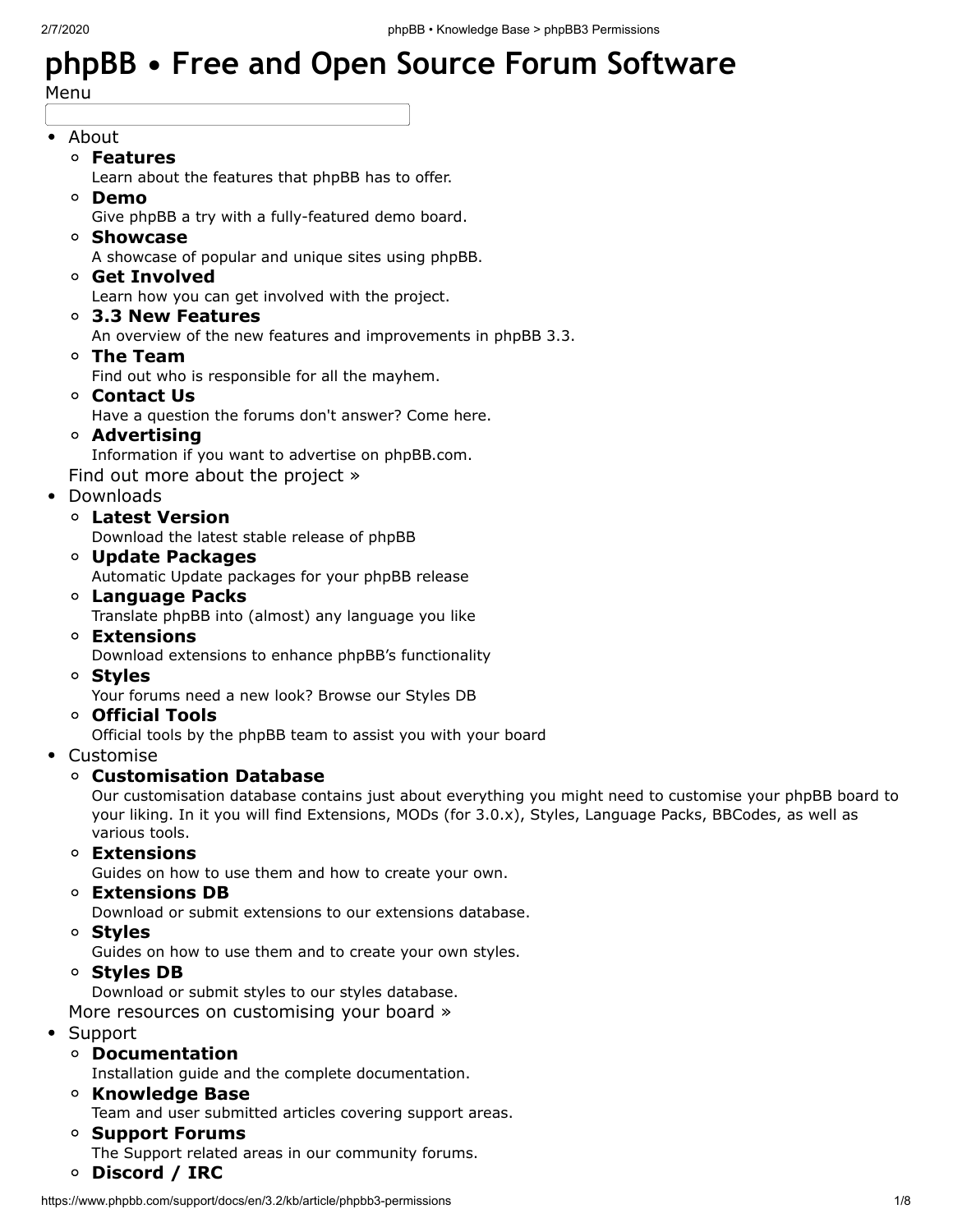# **phpBB • Free and Open Source Forum [Software](https://www.phpbb.com/)**

Menu

#### • [About](https://www.phpbb.com/about/)

- **[Features](https://www.phpbb.com/about/features/)**
	- Learn about the [features](https://www.phpbb.com/about/features/) that phpBB has to offer.
- **[Demo](https://www.phpbb.com/demo/)**

Give phpBB a try with a [fully-featured](https://www.phpbb.com/demo/) demo board.

**[Showcase](https://www.phpbb.com/showcase/)**

[A showcase](https://www.phpbb.com/showcase/) of popular and unique sites using phpBB.

**[Get Involved](https://www.phpbb.com/get-involved/)**

Learn how you can get [involved](https://www.phpbb.com/get-involved/) with the project.

**[3.3 New Features](https://www.phpbb.com/about/launch/)**

An overview of the new features and [improvements](https://www.phpbb.com/about/launch/) in phpBB 3.3.

**[The Team](https://www.phpbb.com/about/team/)**

Find out who is [responsible](https://www.phpbb.com/about/team/) for all the mayhem.

**[Contact Us](https://www.phpbb.com/about/contact_us.php)**

Have a question the forums [don't answer?](https://www.phpbb.com/about/contact_us.php) Come here.

**[Advertising](https://www.phpbb.com/about/advertise/)**

Information if you want to advertise on [phpBB.com.](https://www.phpbb.com/about/advertise/)

Find out more about the [project](https://www.phpbb.com/about/) »

- [Downloads](https://www.phpbb.com/downloads/)
	- **[Latest Version](https://www.phpbb.com/downloads/)**

[Download](https://www.phpbb.com/downloads/) the latest stable release of phpBB

**[Update Packages](https://www.phpbb.com/downloads/#update)**

[Automatic](https://www.phpbb.com/downloads/#update) Update packages for your phpBB release

- **[Language Packs](https://www.phpbb.com/languages/)** Translate phpBB into (almost) any [language](https://www.phpbb.com/languages/) you like
- **[Extensions](https://www.phpbb.com/customise/db/extensions-36)**

Download extensions to enhance phpBB's [functionality](https://www.phpbb.com/customise/db/extensions-36)

**[Styles](https://www.phpbb.com/customise/db/styles-2)**

Your forums need a new look? [Browse](https://www.phpbb.com/customise/db/styles-2) our Styles DB

**[Official Tools](https://www.phpbb.com/customise/db/official_tools-23)**

[Official](https://www.phpbb.com/customise/db/official_tools-23) tools by the phpBB team to assist you with your board

- $\bullet$ [Customise](https://www.phpbb.com/customise/)
	- **[Customisation Database](https://www.phpbb.com/customise/db/)**

Our [customisation](https://www.phpbb.com/customise/db/) database contains just about everything you might need to customise your phpBB board to your liking. In it you will find Extensions, MODs (for 3.0.x), Styles, Language Packs, BBCodes, as well as various tools.

**[Extensions](https://www.phpbb.com/extensions/)**

[Guides](https://www.phpbb.com/extensions/) on how to use them and how to create your own.

**[Extensions DB](https://www.phpbb.com/customise/db/extensions-36)**

Download or submit extensions to our [extensions](https://www.phpbb.com/customise/db/extensions-36) database.

**[Styles](https://www.phpbb.com/styles/)**

[Guides](https://www.phpbb.com/styles/) on how to use them and to create your own styles.

**[Styles DB](https://www.phpbb.com/customise/db/styles-2)**

[Download](https://www.phpbb.com/customise/db/styles-2) or submit styles to our styles database.

More resources on [customising](https://www.phpbb.com/support/docs/en/3.2/kb/article/phpbb3-permissions) your board »

- [Support](https://www.phpbb.com/support/)
	- **[Documentation](https://www.phpbb.com/support/docs/)**

Installation guide and the complete [documentation.](https://www.phpbb.com/support/docs/)

**[Knowledge Base](https://www.phpbb.com/support/docs/en/3.3/kb/)**

Team and user [submitted](https://www.phpbb.com/support/docs/en/3.3/kb/) articles covering support areas.

- **[Support Forums](https://www.phpbb.com/support/forums/)** The Support related areas in our [community](https://www.phpbb.com/support/forums/) forums.
- **[Discord / IRC](https://www.phpbb.com/support/chat)**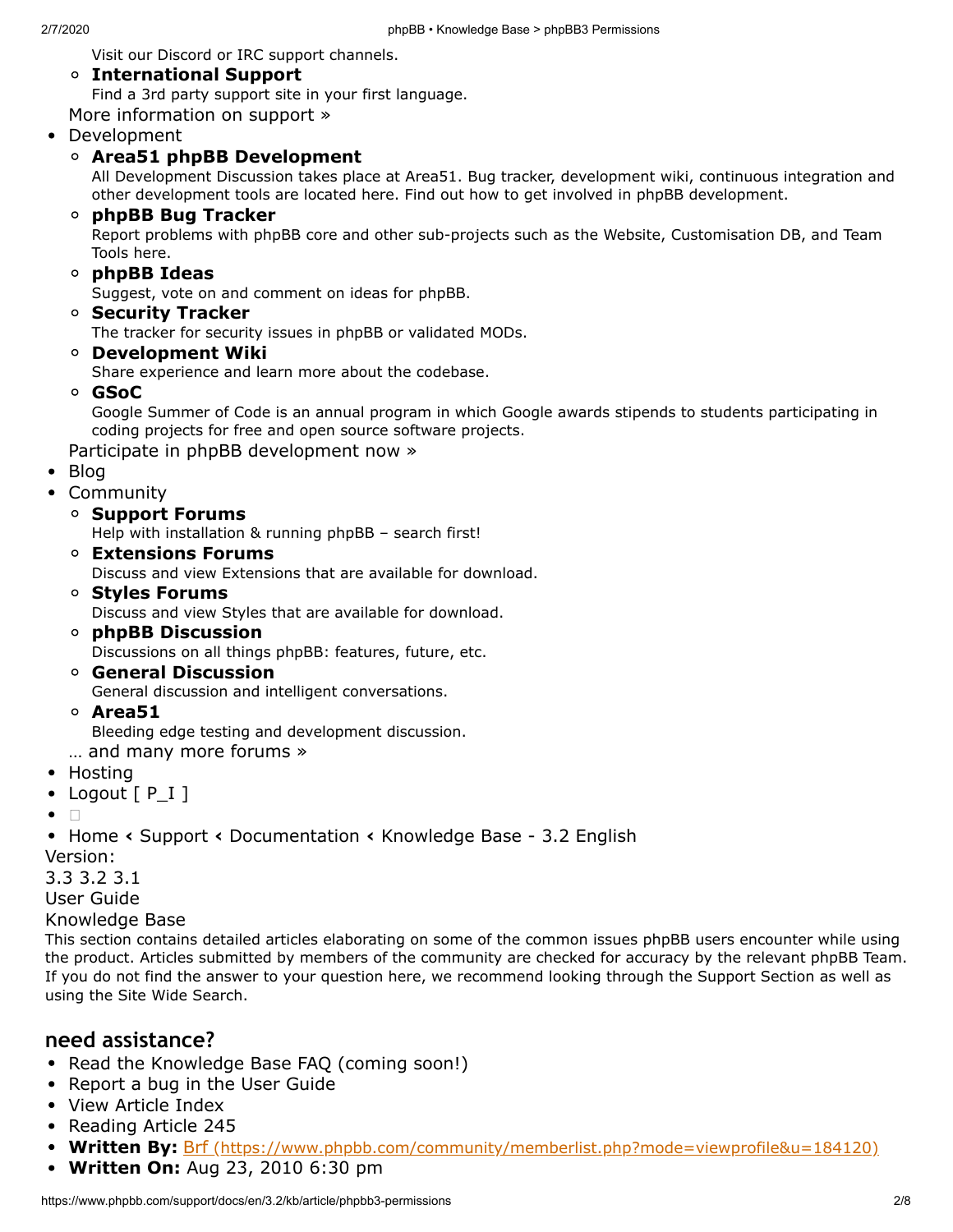Visit our Discord or IRC support [channels.](https://www.phpbb.com/support/chat)

#### **[International Support](https://www.phpbb.com/support/intl/)** Find a 3rd party support site in your first [language.](https://www.phpbb.com/support/intl/)

More [information](https://www.phpbb.com/support/) on support »

#### [Development](https://www.phpbb.com/development/)

#### **[Area51 phpBB Development](https://area51.phpbb.com/)**

All Development Discussion takes place at Area51. Bug tracker, development wiki, continuous integration and other development tools are located here. Find out how to get involved in phpBB [development.](https://area51.phpbb.com/)

#### $\circ$ **[phpBB Bug Tracker](http://tracker.phpbb.com/)**

Report problems with phpBB core and other sub-projects such as the Website, [Customisation](http://tracker.phpbb.com/) DB, and Team Tools here.

**[phpBB Ideas](https://www.phpbb.com/community/ideas/)**

Suggest, vote on and [comment](https://www.phpbb.com/community/ideas/) on ideas for phpBB.

**[Security Tracker](https://tracker.phpbb.com/secure/BrowseProjects.jspa#10020)**

The tracker for security issues in phpBB or [validated](https://tracker.phpbb.com/secure/BrowseProjects.jspa#10020) MODs.

**[Development Wiki](https://wiki.phpbb.com/)**

Share [experience](https://wiki.phpbb.com/) and learn more about the codebase.

**[GSoC](https://www.phpbb.com/development/gsoc/)**

Google Summer of Code is an annual program in which Google awards stipends to students [participating](https://www.phpbb.com/development/gsoc/) in coding projects for free and open source software projects.

Participate in phpBB [development](https://www.phpbb.com/development/) now »

- [Blog](https://blog.phpbb.com/)
- **[Community](https://www.phpbb.com/community/)** 
	- **[Support Forums](https://www.phpbb.com/community/viewforum.php?f=551)**
		- Help with [installation](https://www.phpbb.com/community/viewforum.php?f=551) & running phpBB search first!
	- **[Extensions Forums](https://www.phpbb.com/community/viewforum.php?f=451)**

Discuss and view [Extensions](https://www.phpbb.com/community/viewforum.php?f=451) that are available for download.

**[Styles Forums](https://www.phpbb.com/community/viewforum.php?f=471)**

Discuss and view Styles that are available for [download.](https://www.phpbb.com/community/viewforum.php?f=471)

- **[phpBB Discussion](https://www.phpbb.com/community/viewforum.php?f=64)** [Discussions](https://www.phpbb.com/community/viewforum.php?f=64) on all things phpBB: features, future, etc.
- **[General Discussion](https://www.phpbb.com/community/viewforum.php?f=6)** General discussion and intelligent [conversations.](https://www.phpbb.com/community/viewforum.php?f=6)
- **[Area51](https://area51.phpbb.com/phpBB/)**

Bleeding edge testing and [development](https://area51.phpbb.com/phpBB/) discussion.

- … and many more [forums »](https://www.phpbb.com/community/)
- [Hosting](https://www.phpbb.com/hosting/)
- [Logout](https://www.phpbb.com/community/ucp.php?mode=logout&sid=cd011370073aa560c2e755c2e166d03e)  $[P_I]$
- $\bullet$  $\Box$

[Home](https://www.phpbb.com/) **‹** [Support](https://www.phpbb.com/support/) **‹** [Documentation](https://www.phpbb.com/support/docs/en/) **‹** [Knowledge](https://www.phpbb.com/support/docs/en/3.2/kb/) Base - 3.2 English Version:

[3.3](https://www.phpbb.com/support/docs/en/3.3/kb/) [3.2](https://www.phpbb.com/support/docs/en/3.2/kb/) [3.1](https://www.phpbb.com/support/docs/en/3.1/kb/)

User [Guide](https://www.phpbb.com/support/docs/en/3.2/ug/)

[Knowledge](https://www.phpbb.com/support/docs/en/3.2/kb/) Base

This section contains detailed articles elaborating on some of the common issues phpBB users encounter while using the product. Articles submitted by members of the community are checked for accuracy by the relevant phpBB Team. If you do not find the answer to your question here, we recommend looking through the [Support](https://www.phpbb.com/support/) Section as well as using the Site Wide [Search](https://www.phpbb.com/search/).

#### **need assistance?**

- Read the [Knowledge](https://www.phpbb.com/support/docs/en/3.2/kb/article/phpbb3-permissions) Base FAQ (coming soon!)
- [Report](https://tracker.phpbb.com/browse/WEBSITE) a bug in the User Guide
- View [Article](https://www.phpbb.com/support/docs/en/3.2/kb/) Index
- [Reading](https://www.phpbb.com/support/docs/en/3.2/kb/article/phpbb3-permissions) Article 245
- **Written By:** Brf [\(https://www.phpbb.com/community/memberlist.php?mode=viewprofile&u=184120\)](https://www.phpbb.com/community/memberlist.php?mode=viewprofile&u=184120)
- **Written On:** Aug 23, 2010 6:30 pm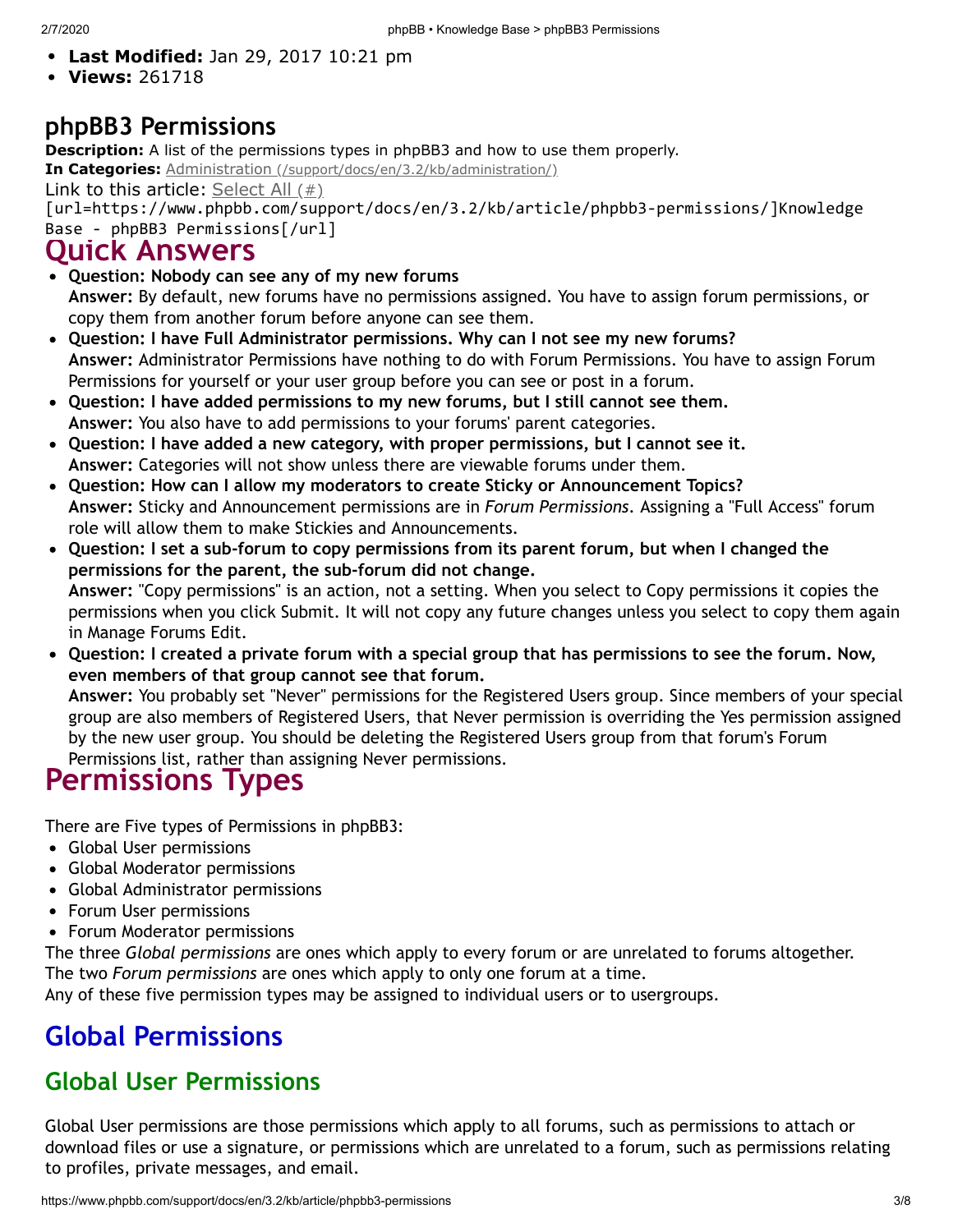- **Last Modified:** Jan 29, 2017 10:21 pm
- **Views:** 261718

#### **phpBB3 Permissions**

**Description:** A list of the permissions types in phpBB3 and how to use them properly.

**In Categories:** Administration [\(/support/docs/en/3.2/kb/administration/\)](https://www.phpbb.com/support/docs/en/3.2/kb/administration/)

Link to this article: Select All  $(\#)$ 

[url=https://www.phpbb.com/support/docs/en/3.2/kb/article/phpbb3-permissions/]Knowledge Base - phpBB3 Permissions[/url]

#### **Quick Answers**

- **Question: Nobody can see any of my new forums Answer:** By default, new forums have no permissions assigned. You have to assign forum permissions, or copy them from another forum before anyone can see them.
- **Question: I have Full Administrator permissions. Why can I not see my new forums? Answer:** Administrator Permissions have nothing to do with Forum Permissions. You have to assign Forum Permissions for yourself or your user group before you can see or post in a forum.
- **Question: I have added permissions to my new forums, but I still cannot see them. Answer:** You also have to add permissions to your forums' parent categories.
- **Question: I have added a new category, with proper permissions, but I cannot see it. Answer:** Categories will not show unless there are viewable forums under them.
- **Question: How can I allow my moderators to create Sticky or Announcement Topics? Answer:** Sticky and Announcement permissions are in *Forum Permissions*. Assigning a "Full Access" forum role will allow them to make Stickies and Announcements.
- **Question: I set a sub-forum to copy permissions from its parent forum, but when I changed the permissions for the parent, the sub-forum did not change. Answer:** "Copy permissions" is an action, not a setting. When you select to Copy permissions it copies the permissions when you click Submit. It will not copy any future changes unless you select to copy them again in Manage Forums Edit.
- . Question: I created a private forum with a special group that has permissions to see the forum. Now, **even members of that group cannot see that forum.**

**Answer:** You probably set "Never" permissions for the Registered Users group. Since members of your special group are also members of Registered Users, that Never permission is overriding the Yes permission assigned by the new user group. You should be deleting the Registered Users group from that forum's Forum Permissions list, rather than assigning Never permissions.

## **Permissions Types**

There are Five types of Permissions in phpBB3:

- Global User permissions
- Global Moderator permissions
- Global Administrator permissions
- Forum User permissions
- Forum Moderator permissions

The three *Global permissions* are ones which apply to every forum or are unrelated to forums altogether. The two *Forum permissions* are ones which apply to only one forum at a time.

Any of these five permission types may be assigned to individual users or to usergroups.

## **Global Permissions**

#### **Global User Permissions**

Global User permissions are those permissions which apply to all forums, such as permissions to attach or download files or use a signature, or permissions which are unrelated to a forum, such as permissions relating to profiles, private messages, and email.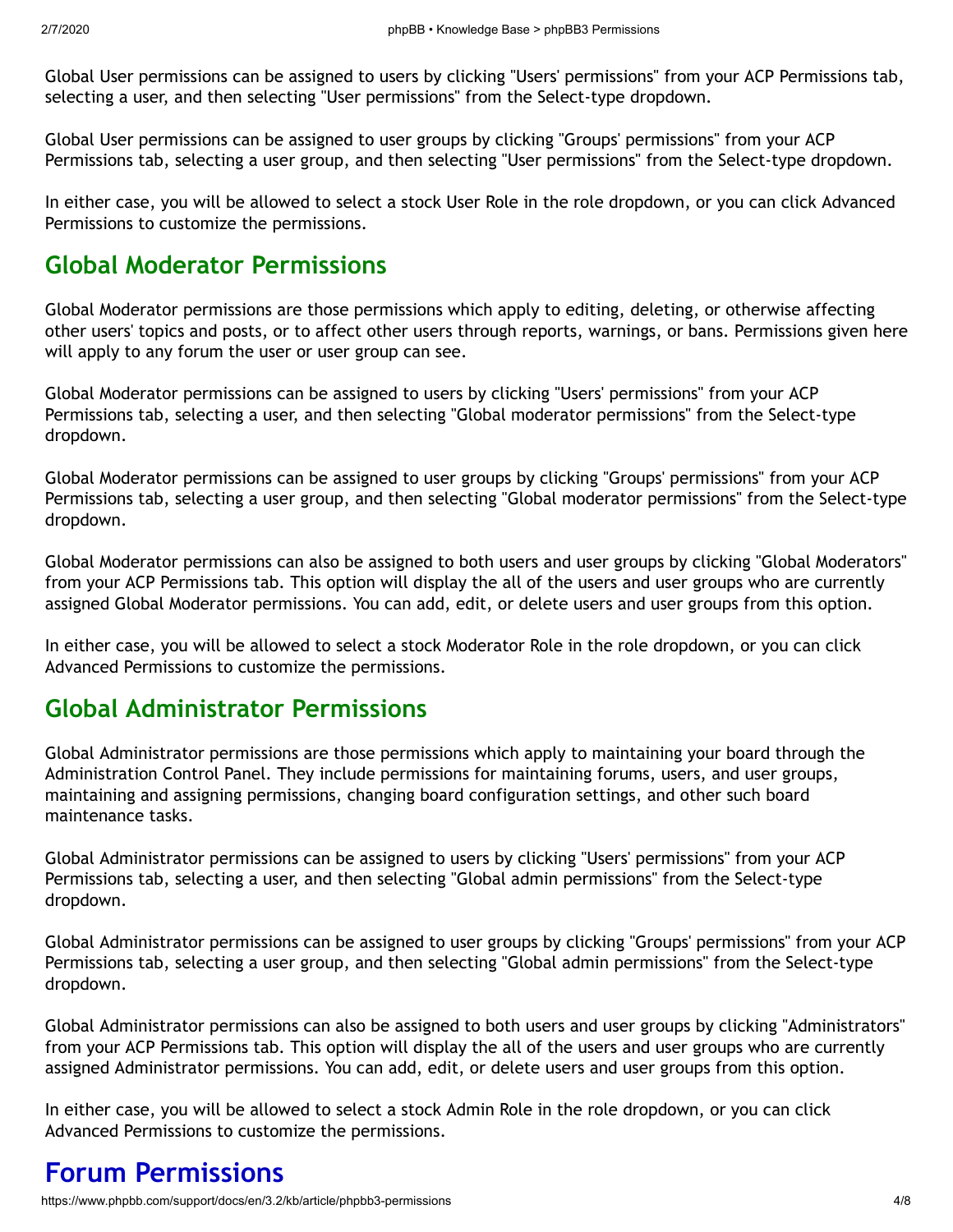Global User permissions can be assigned to users by clicking "Users' permissions" from your ACP Permissions tab, selecting a user, and then selecting "User permissions" from the Select-type dropdown.

Global User permissions can be assigned to user groups by clicking "Groups' permissions" from your ACP Permissions tab, selecting a user group, and then selecting "User permissions" from the Select-type dropdown.

In either case, you will be allowed to select a stock User Role in the role dropdown, or you can click Advanced Permissions to customize the permissions.

### **Global Moderator Permissions**

Global Moderator permissions are those permissions which apply to editing, deleting, or otherwise affecting other users' topics and posts, or to affect other users through reports, warnings, or bans. Permissions given here will apply to any forum the user or user group can see.

Global Moderator permissions can be assigned to users by clicking "Users' permissions" from your ACP Permissions tab, selecting a user, and then selecting "Global moderator permissions" from the Select-type dropdown.

Global Moderator permissions can be assigned to user groups by clicking "Groups' permissions" from your ACP Permissions tab, selecting a user group, and then selecting "Global moderator permissions" from the Select-type dropdown.

Global Moderator permissions can also be assigned to both users and user groups by clicking "Global Moderators" from your ACP Permissions tab. This option will display the all of the users and user groups who are currently assigned Global Moderator permissions. You can add, edit, or delete users and user groups from this option.

In either case, you will be allowed to select a stock Moderator Role in the role dropdown, or you can click Advanced Permissions to customize the permissions.

#### **Global Administrator Permissions**

Global Administrator permissions are those permissions which apply to maintaining your board through the Administration Control Panel. They include permissions for maintaining forums, users, and user groups, maintaining and assigning permissions, changing board configuration settings, and other such board maintenance tasks.

Global Administrator permissions can be assigned to users by clicking "Users' permissions" from your ACP Permissions tab, selecting a user, and then selecting "Global admin permissions" from the Select-type dropdown.

Global Administrator permissions can be assigned to user groups by clicking "Groups' permissions" from your ACP Permissions tab, selecting a user group, and then selecting "Global admin permissions" from the Select-type dropdown.

Global Administrator permissions can also be assigned to both users and user groups by clicking "Administrators" from your ACP Permissions tab. This option will display the all of the users and user groups who are currently assigned Administrator permissions. You can add, edit, or delete users and user groups from this option.

In either case, you will be allowed to select a stock Admin Role in the role dropdown, or you can click Advanced Permissions to customize the permissions.

## **Forum Permissions**

https://www.phpbb.com/support/docs/en/3.2/kb/article/phpbb3-permissions 4/8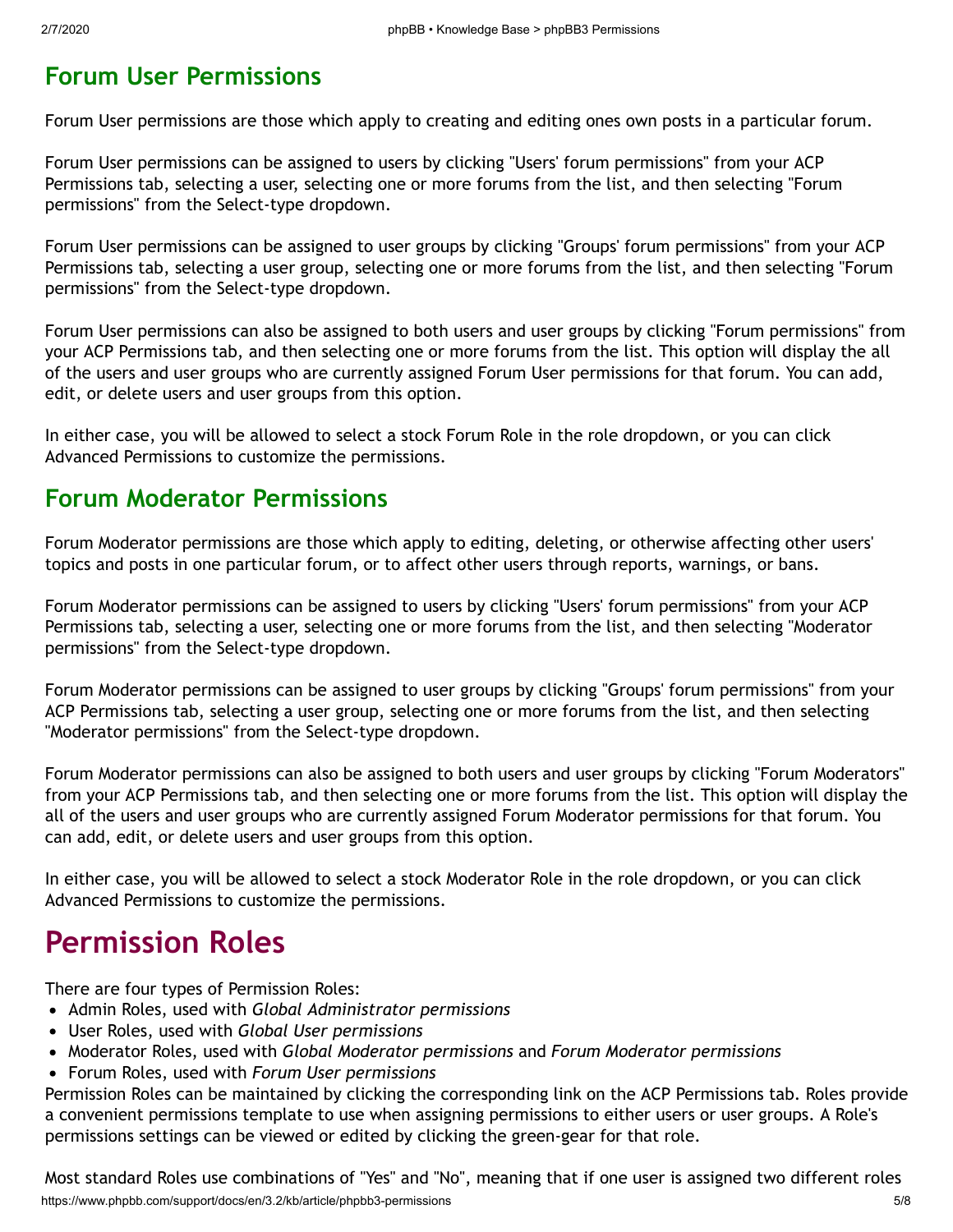#### **Forum User Permissions**

Forum User permissions are those which apply to creating and editing ones own posts in a particular forum.

Forum User permissions can be assigned to users by clicking "Users' forum permissions" from your ACP Permissions tab, selecting a user, selecting one or more forums from the list, and then selecting "Forum permissions" from the Select-type dropdown.

Forum User permissions can be assigned to user groups by clicking "Groups' forum permissions" from your ACP Permissions tab, selecting a user group, selecting one or more forums from the list, and then selecting "Forum permissions" from the Select-type dropdown.

Forum User permissions can also be assigned to both users and user groups by clicking "Forum permissions" from your ACP Permissions tab, and then selecting one or more forums from the list. This option will display the all of the users and user groups who are currently assigned Forum User permissions for that forum. You can add, edit, or delete users and user groups from this option.

In either case, you will be allowed to select a stock Forum Role in the role dropdown, or you can click Advanced Permissions to customize the permissions.

#### **Forum Moderator Permissions**

Forum Moderator permissions are those which apply to editing, deleting, or otherwise affecting other users' topics and posts in one particular forum, or to affect other users through reports, warnings, or bans.

Forum Moderator permissions can be assigned to users by clicking "Users' forum permissions" from your ACP Permissions tab, selecting a user, selecting one or more forums from the list, and then selecting "Moderator permissions" from the Select-type dropdown.

Forum Moderator permissions can be assigned to user groups by clicking "Groups' forum permissions" from your ACP Permissions tab, selecting a user group, selecting one or more forums from the list, and then selecting "Moderator permissions" from the Select-type dropdown.

Forum Moderator permissions can also be assigned to both users and user groups by clicking "Forum Moderators" from your ACP Permissions tab, and then selecting one or more forums from the list. This option will display the all of the users and user groups who are currently assigned Forum Moderator permissions for that forum. You can add, edit, or delete users and user groups from this option.

In either case, you will be allowed to select a stock Moderator Role in the role dropdown, or you can click Advanced Permissions to customize the permissions.

## **Permission Roles**

There are four types of Permission Roles:

- Admin Roles, used with *Global Administrator permissions*
- User Roles, used with *Global User permissions*
- Moderator Roles, used with *Global Moderator permissions* and *Forum Moderator permissions*
- Forum Roles, used with *Forum User permissions*

Permission Roles can be maintained by clicking the corresponding link on the ACP Permissions tab. Roles provide a convenient permissions template to use when assigning permissions to either users or user groups. A Role's permissions settings can be viewed or edited by clicking the green-gear for that role.

https://www.phpbb.com/support/docs/en/3.2/kb/article/phpbb3-permissions 5/8 Most standard Roles use combinations of "Yes" and "No", meaning that if one user is assigned two different roles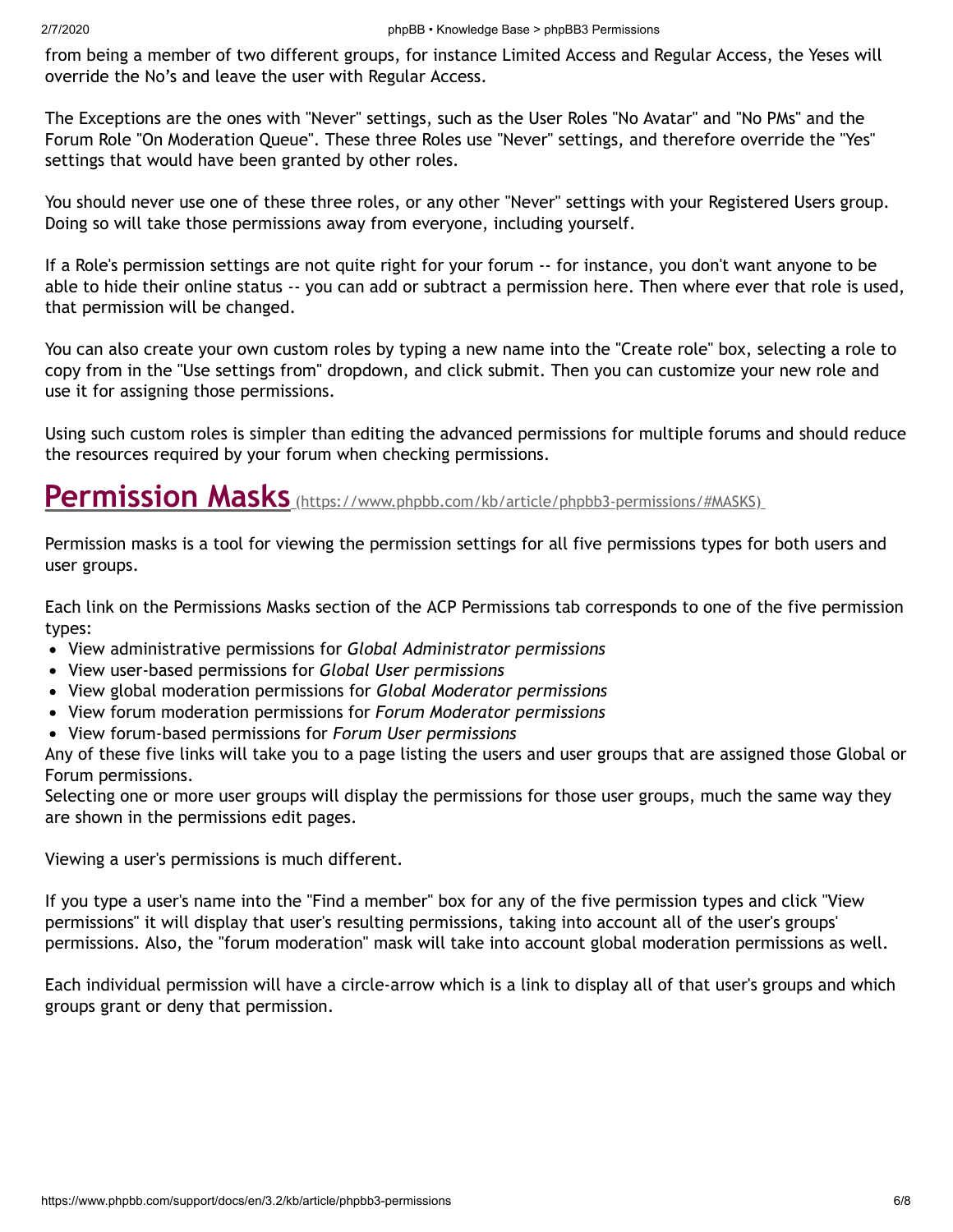from being a member of two different groups, for instance Limited Access and Regular Access, the Yeses will override the No's and leave the user with Regular Access.

The Exceptions are the ones with "Never" settings, such as the User Roles "No Avatar" and "No PMs" and the Forum Role "On Moderation Queue". These three Roles use "Never" settings, and therefore override the "Yes" settings that would have been granted by other roles.

You should never use one of these three roles, or any other "Never" settings with your Registered Users group. Doing so will take those permissions away from everyone, including yourself.

If a Role's permission settings are not quite right for your forum -- for instance, you don't want anyone to be able to hide their online status -- you can add or subtract a permission here. Then where ever that role is used, that permission will be changed.

You can also create your own custom roles by typing a new name into the "Create role" box, selecting a role to copy from in the "Use settings from" dropdown, and click submit. Then you can customize your new role and use it for assigning those permissions.

Using such custom roles is simpler than editing the advanced permissions for multiple forums and should reduce the resources required by your forum when checking permissions.

## **Permission Masks** [\(https://www.phpbb.com/kb/article/phpbb3-permissions/#MASKS\)](https://www.phpbb.com/kb/article/phpbb3-permissions/#MASKS)

Permission masks is a tool for viewing the permission settings for all five permissions types for both users and user groups.

Each link on the Permissions Masks section of the ACP Permissions tab corresponds to one of the five permission types:

- View administrative permissions for *Global Administrator permissions*
- View user-based permissions for *Global User permissions*
- View global moderation permissions for *Global Moderator permissions*
- View forum moderation permissions for *Forum Moderator permissions*
- View forum-based permissions for *Forum User permissions*

Any of these five links will take you to a page listing the users and user groups that are assigned those Global or Forum permissions.

Selecting one or more user groups will display the permissions for those user groups, much the same way they are shown in the permissions edit pages.

Viewing a user's permissions is much different.

If you type a user's name into the "Find a member" box for any of the five permission types and click "View permissions" it will display that user's resulting permissions, taking into account all of the user's groups' permissions. Also, the "forum moderation" mask will take into account global moderation permissions as well.

Each individual permission will have a circle-arrow which is a link to display all of that user's groups and which groups grant or deny that permission.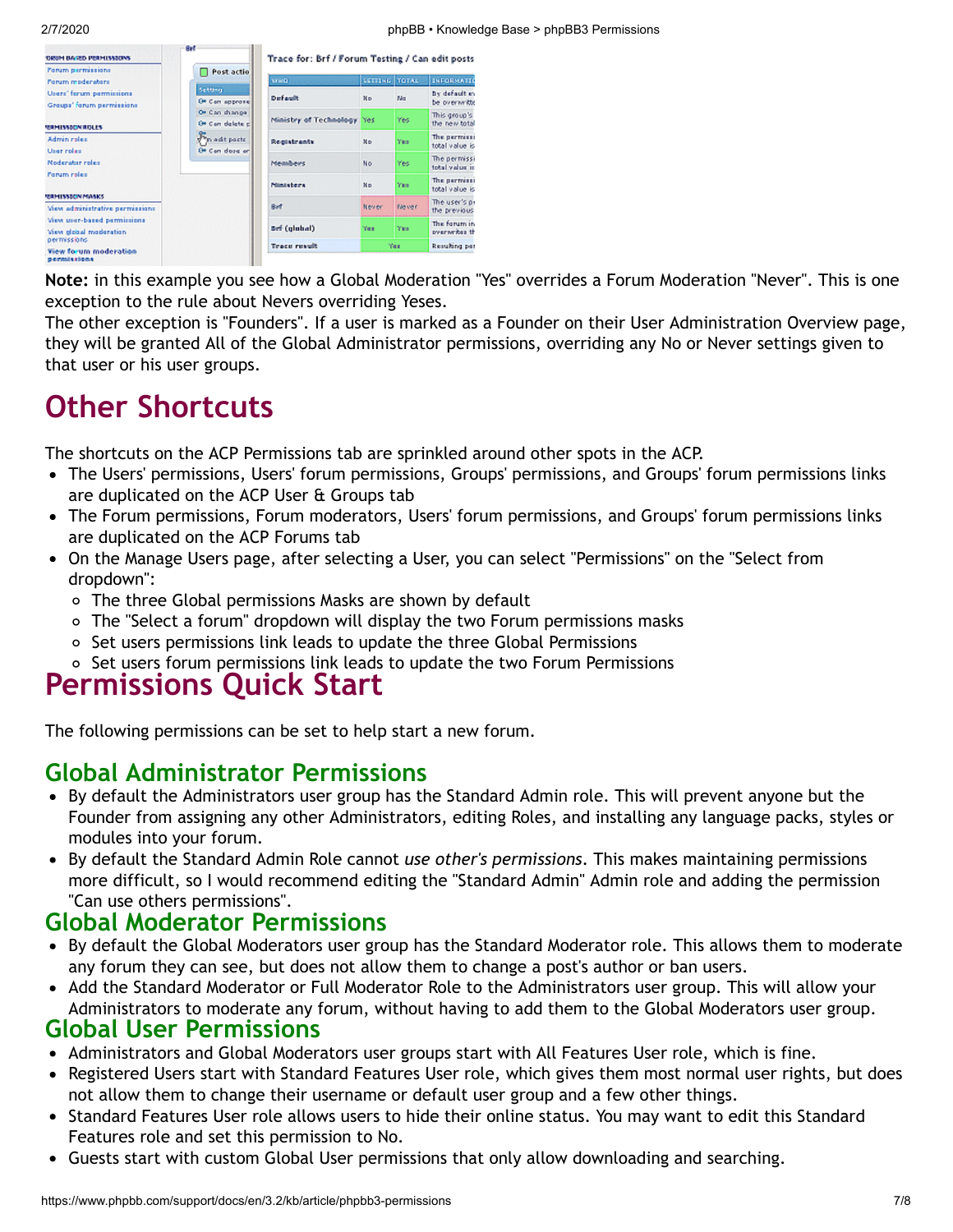| <b>TORUM BARD PERMISSIONS</b>                              | an a                             | Trace for: Brf / Forum Testing / Can edit posts |               |              |                               |
|------------------------------------------------------------|----------------------------------|-------------------------------------------------|---------------|--------------|-------------------------------|
| Forum permissions<br>Forum moderators                      | Post actio                       | <b>TOSO</b>                                     | SETTING TOTAL |              | INFORMATI                     |
| Users' ferum permissions<br>Groups' forum permissions      | Setting<br>Of Can approve        | <b>Default</b>                                  | No            | No           | By default et<br>be overwritt |
| <b>RESPUSSED MISCLES</b>                                   | Or Can shange<br>Of Can delete c | Ministry of Technology Yes                      |               | Yes          | This group's<br>the new tota  |
| Adminirates<br>User roles                                  | Ponedt posts<br>Of Can doze on   | Registrants                                     | No.           | Yes.         | The permiss<br>total value is |
| Noderster roles                                            |                                  | <b>Members</b>                                  | No.           | Yes          | The permiss<br>total value is |
| Forum reles                                                |                                  | <b>Ministers</b>                                | No            | Yes.         | The permiss<br>total value is |
| <b>REBHISSEON MASKS</b><br>View administrative permissions |                                  | Ref <sub>.</sub>                                | Never         | <b>Never</b> | The user's p<br>the previous  |
| View user-based permissions<br>View plobal moderation      |                                  | <b>Brf (global)</b>                             | Yes           | Yes:         | The forum in<br>overwrites ti |
| permissions<br><b>Yiew forum moderation</b><br>permissions |                                  | <b>Trace result</b>                             |               | Yes          | Resulting pe                  |

**Note:** in this example you see how a Global Moderation "Yes" overrides a Forum Moderation "Never". This is one exception to the rule about Nevers overriding Yeses.

The other exception is "Founders". If a user is marked as a Founder on their User Administration Overview page, they will be granted All of the Global Administrator permissions, overriding any No or Never settings given to that user or his user groups.

# **Other Shortcuts**

The shortcuts on the ACP Permissions tab are sprinkled around other spots in the ACP.

- The Users' permissions, Users' forum permissions, Groups' permissions, and Groups' forum permissions links are duplicated on the ACP User & Groups tab
- The Forum permissions, Forum moderators, Users' forum permissions, and Groups' forum permissions links are duplicated on the ACP Forums tab
- On the Manage Users page, after selecting a User, you can select "Permissions" on the "Select from dropdown":
	- The three Global permissions Masks are shown by default
	- The "Select a forum" dropdown will display the two Forum permissions masks
	- o Set users permissions link leads to update the three Global Permissions
	- o Set users forum permissions link leads to update the two Forum Permissions

## **Permissions Quick Start**

The following permissions can be set to help start a new forum.

#### **Global Administrator Permissions**

- By default the Administrators user group has the Standard Admin role. This will prevent anyone but the Founder from assigning any other Administrators, editing Roles, and installing any language packs, styles or modules into your forum.
- By default the Standard Admin Role cannot *use other's permissions*. This makes maintaining permissions more difficult, so I would recommend editing the "Standard Admin" Admin role and adding the permission "Can use others permissions".

#### **Global Moderator Permissions**

- By default the Global Moderators user group has the Standard Moderator role. This allows them to moderate any forum they can see, but does not allow them to change a post's author or ban users.
- Add the Standard Moderator or Full Moderator Role to the Administrators user group. This will allow your Administrators to moderate any forum, without having to add them to the Global Moderators user group.

#### **Global User Permissions**

- Administrators and Global Moderators user groups start with All Features User role, which is fine.
- Registered Users start with Standard Features User role, which gives them most normal user rights, but does not allow them to change their username or default user group and a few other things.
- Standard Features User role allows users to hide their online status. You may want to edit this Standard Features role and set this permission to No.
- Guests start with custom Global User permissions that only allow downloading and searching.